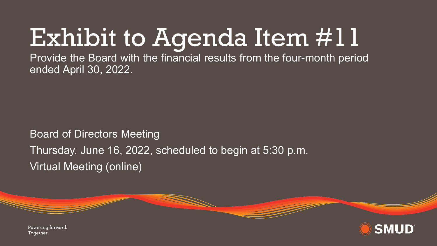## Exhibit to Agenda Item #11

Provide the Board with the financial results from the four-month period ended April 30, 2022.

Board of Directors Meeting Thursday, June 16, 2022, scheduled to begin at 5:30 p.m. Virtual Meeting (online)

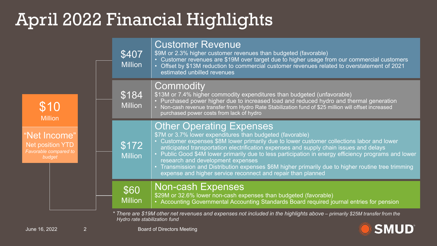## April 2022 Financial Highlights

| \$10<br><b>Million</b><br>"Net Income"<br><b>Net position YTD</b><br>Favorable compared to<br>budget                                                        | \$407<br><b>Million</b> | <b>Customer Revenue</b><br>\$9M or 2.3% higher customer revenues than budgeted (favorable)<br>• Customer revenues are \$19M over target due to higher usage from our commercial customers<br>Offset by \$13M reduction to commercial customer revenues related to overstatement of 2021<br>estimated unbilled revenues                                                                                                                                                                                                                                                                              |
|-------------------------------------------------------------------------------------------------------------------------------------------------------------|-------------------------|-----------------------------------------------------------------------------------------------------------------------------------------------------------------------------------------------------------------------------------------------------------------------------------------------------------------------------------------------------------------------------------------------------------------------------------------------------------------------------------------------------------------------------------------------------------------------------------------------------|
|                                                                                                                                                             | \$184<br><b>Million</b> | Commodity<br>\$13M or 7.4% higher commodity expenditures than budgeted (unfavorable)<br>Purchased power higher due to increased load and reduced hydro and thermal generation<br>Non-cash revenue transfer from Hydro Rate Stabilization fund of \$25 million will offset increased<br>purchased power costs from lack of hydro                                                                                                                                                                                                                                                                     |
|                                                                                                                                                             | \$172<br><b>Million</b> | <b>Other Operating Expenses</b><br>\$7M or 3.7% lower expenditures than budgeted (favorable)<br>• Customer expenses \$8M lower primarily due to lower customer collections labor and lower<br>anticipated transportation electrification expenses and supply chain issues and delays<br>Public Good \$4M lower primarily due to less participation in energy efficiency programs and lower<br>research and development expenses<br>Transmission and Distribution expenses \$6M higher primarily due to higher routine tree trimming<br>expense and higher service reconnect and repair than planned |
|                                                                                                                                                             | \$60<br><b>Million</b>  | <b>Non-cash Expenses</b><br>\$29M or 32.6% lower non-cash expenses than budgeted (favorable)<br>• Accounting Governmental Accounting Standards Board required journal entries for pension                                                                                                                                                                                                                                                                                                                                                                                                           |
| * There are \$19M other net revenues and expenses not included in the highlights above – primarily \$25M transfer from the<br>Hydro rate stabilization fund |                         |                                                                                                                                                                                                                                                                                                                                                                                                                                                                                                                                                                                                     |

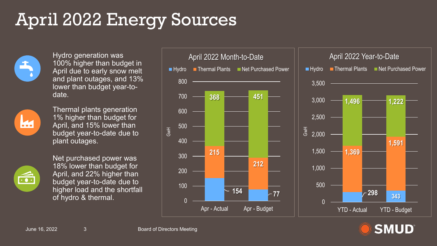## April 2022 Energy Sources



Hydro generation was 100% higher than budget in April due to early snow melt and plant outages, and 13% lower than budget year-todate.



Thermal plants generation 1% higher than budget for April, and 15% lower than budget year-to-date due to plant outages.



Net purchased power was 18% lower than budget for April, and 22% higher than budget year-to-date due to higher load and the shortfall of hydro & thermal.